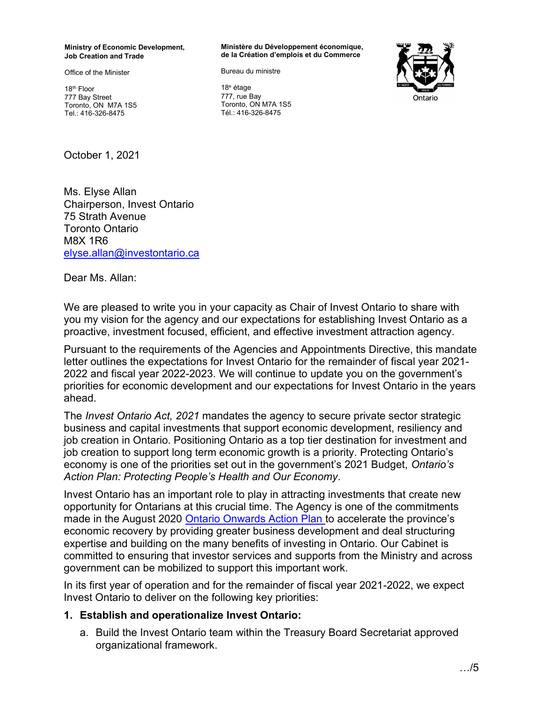#### **Ministry of Economic Development, Job Creation and Trade**

Office of the Minister

18th Floor 777 Bay Street Toronto, ON M7A 1S5 Tel.: 416-326-8475

October 1, 2021

Ms. Elyse Allan Chairperson, Invest Ontario 75 Strath Avenue Toronto Ontario M8X 1R6 [elyse.allan@investontario.ca](mailto:elyse.allan@investontario.ca)

Dear Ms. Allan:

We are pleased to write you in your capacity as Chair of Invest Ontario to share with you my vision for the agency and our expectations for establishing Invest Ontario as a proactive, investment focused, efficient, and effective investment attraction agency.

Pursuant to the requirements of the Agencies and Appointments Directive, this mandate letter outlines the expectations for Invest Ontario for the remainder of fiscal year 2021- 2022 and fiscal year 2022-2023. We will continue to update you on the government's priorities for economic development and our expectations for Invest Ontario in the years ahead.

The *Invest Ontario Act, 2021* mandates the agency to secure private sector strategic business and capital investments that support economic development, resiliency and job creation in Ontario. Positioning Ontario as a top tier destination for investment and job creation to support long term economic growth is a priority. Protecting Ontario's economy is one of the priorities set out in the government's 2021 Budget, *Ontario's Action Plan: Protecting People's Health and Our Economy*.

Invest Ontario has an important role to play in attracting investments that create new opportunity for Ontarians at this crucial time. The Agency is one of the commitments made in the August 2020 [Ontario Onwards Action Plan](https://www.ontario.ca/page/ontario-onwards-action-plan) to accelerate the province's economic recovery by providing greater business development and deal structuring expertise and building on the many benefits of investing in Ontario. Our Cabinet is committed to ensuring that investor services and supports from the Ministry and across government can be mobilized to support this important work.

In its first year of operation and for the remainder of fiscal year 2021-2022, we expect Invest Ontario to deliver on the following key priorities:

#### **1. Establish and operationalize Invest Ontario:**

a. Build the Invest Ontario team within the Treasury Board Secretariat approved organizational framework.

**Ministère du Développement économique, de la Création d'emplois et du Commerce** 

Bureau du ministre

18<sup>e</sup> étage 777, rue Bay Toronto, ON M7A 1S5 Tél.: 416-326-8475

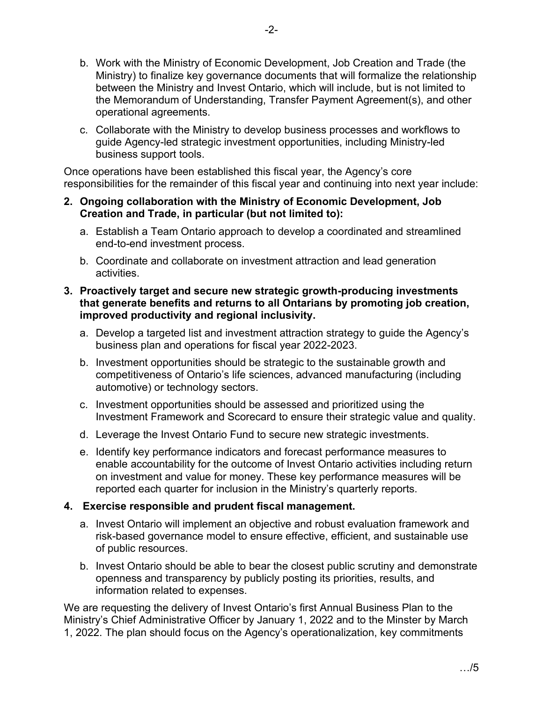- b. Work with the Ministry of Economic Development, Job Creation and Trade (the Ministry) to finalize key governance documents that will formalize the relationship between the Ministry and Invest Ontario, which will include, but is not limited to the Memorandum of Understanding, Transfer Payment Agreement(s), and other operational agreements.
- c. Collaborate with the Ministry to develop business processes and workflows to guide Agency-led strategic investment opportunities, including Ministry-led business support tools.

Once operations have been established this fiscal year, the Agency's core responsibilities for the remainder of this fiscal year and continuing into next year include:

## **2. Ongoing collaboration with the Ministry of Economic Development, Job Creation and Trade, in particular (but not limited to):**

- a. Establish a Team Ontario approach to develop a coordinated and streamlined end-to-end investment process.
- b. Coordinate and collaborate on investment attraction and lead generation activities.

## **3. Proactively target and secure new strategic growth-producing investments that generate benefits and returns to all Ontarians by promoting job creation, improved productivity and regional inclusivity.**

- a. Develop a targeted list and investment attraction strategy to guide the Agency's business plan and operations for fiscal year 2022-2023.
- b. Investment opportunities should be strategic to the sustainable growth and competitiveness of Ontario's life sciences, advanced manufacturing (including automotive) or technology sectors.
- c. Investment opportunities should be assessed and prioritized using the Investment Framework and Scorecard to ensure their strategic value and quality.
- d. Leverage the Invest Ontario Fund to secure new strategic investments.
- e. Identify key performance indicators and forecast performance measures to enable accountability for the outcome of Invest Ontario activities including return on investment and value for money. These key performance measures will be reported each quarter for inclusion in the Ministry's quarterly reports.

## **4. Exercise responsible and prudent fiscal management.**

- a. Invest Ontario will implement an objective and robust evaluation framework and risk-based governance model to ensure effective, efficient, and sustainable use of public resources.
- b. Invest Ontario should be able to bear the closest public scrutiny and demonstrate openness and transparency by publicly posting its priorities, results, and information related to expenses.

We are requesting the delivery of Invest Ontario's first Annual Business Plan to the Ministry's Chief Administrative Officer by January 1, 2022 and to the Minster by March 1, 2022. The plan should focus on the Agency's operationalization, key commitments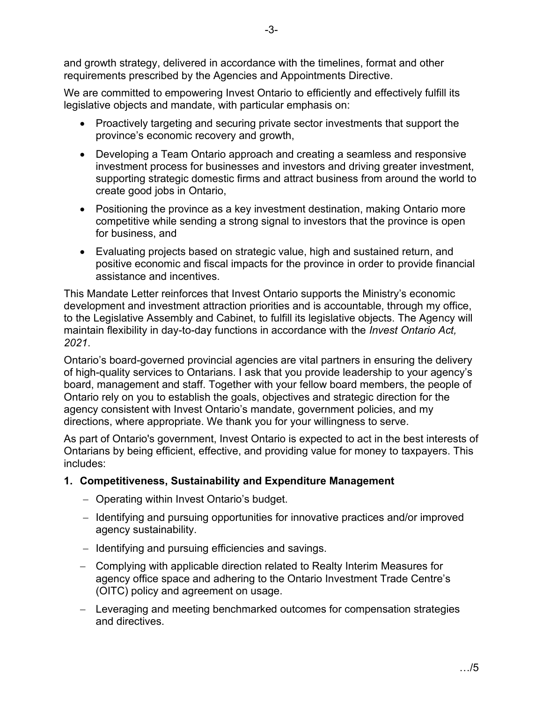and growth strategy, delivered in accordance with the timelines, format and other requirements prescribed by the Agencies and Appointments Directive.

We are committed to empowering Invest Ontario to efficiently and effectively fulfill its legislative objects and mandate, with particular emphasis on:

- Proactively targeting and securing private sector investments that support the province's economic recovery and growth,
- Developing a Team Ontario approach and creating a seamless and responsive investment process for businesses and investors and driving greater investment, supporting strategic domestic firms and attract business from around the world to create good jobs in Ontario,
- Positioning the province as a key investment destination, making Ontario more competitive while sending a strong signal to investors that the province is open for business, and
- Evaluating projects based on strategic value, high and sustained return, and positive economic and fiscal impacts for the province in order to provide financial assistance and incentives.

This Mandate Letter reinforces that Invest Ontario supports the Ministry's economic development and investment attraction priorities and is accountable, through my office, to the Legislative Assembly and Cabinet, to fulfill its legislative objects. The Agency will maintain flexibility in day-to-day functions in accordance with the *Invest Ontario Act, 2021*.

Ontario's board-governed provincial agencies are vital partners in ensuring the delivery of high-quality services to Ontarians. I ask that you provide leadership to your agency's board, management and staff. Together with your fellow board members, the people of Ontario rely on you to establish the goals, objectives and strategic direction for the agency consistent with Invest Ontario's mandate, government policies, and my directions, where appropriate. We thank you for your willingness to serve.

As part of Ontario's government, Invest Ontario is expected to act in the best interests of Ontarians by being efficient, effective, and providing value for money to taxpayers. This includes:

# **1. Competitiveness, Sustainability and Expenditure Management**

- − Operating within Invest Ontario's budget.
- − Identifying and pursuing opportunities for innovative practices and/or improved agency sustainability.
- − Identifying and pursuing efficiencies and savings.
- − Complying with applicable direction related to Realty Interim Measures for agency office space and adhering to the Ontario Investment Trade Centre's (OITC) policy and agreement on usage.
- − Leveraging and meeting benchmarked outcomes for compensation strategies and directives.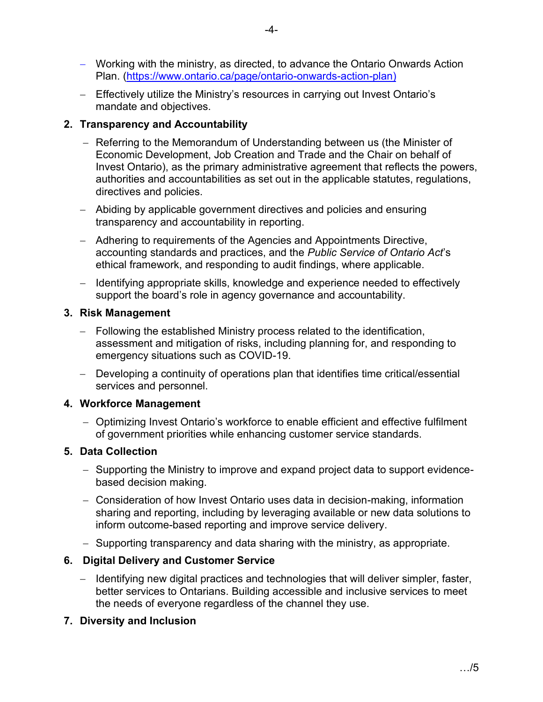- − Working with the ministry, as directed, to advance the Ontario Onwards Action Plan. (<https://www.ontario.ca/page/ontario-onwards-action-plan>)
- − Effectively utilize the Ministry's resources in carrying out Invest Ontario's mandate and objectives.

## **2. Transparency and Accountability**

- − Referring to the Memorandum of Understanding between us (the Minister of Economic Development, Job Creation and Trade and the Chair on behalf of Invest Ontario), as the primary administrative agreement that reflects the powers, authorities and accountabilities as set out in the applicable statutes, regulations, directives and policies.
- − Abiding by applicable government directives and policies and ensuring transparency and accountability in reporting.
- − Adhering to requirements of the Agencies and Appointments Directive, accounting standards and practices, and the *Public Service of Ontario Act*'s ethical framework, and responding to audit findings, where applicable.
- − Identifying appropriate skills, knowledge and experience needed to effectively support the board's role in agency governance and accountability.

## **3. Risk Management**

- − Following the established Ministry process related to the identification, assessment and mitigation of risks, including planning for, and responding to emergency situations such as COVID-19.
- − Developing a continuity of operations plan that identifies time critical/essential services and personnel.

# **4. Workforce Management**

− Optimizing Invest Ontario's workforce to enable efficient and effective fulfilment of government priorities while enhancing customer service standards.

# **5. Data Collection**

- − Supporting the Ministry to improve and expand project data to support evidencebased decision making.
- − Consideration of how Invest Ontario uses data in decision-making, information sharing and reporting, including by leveraging available or new data solutions to inform outcome-based reporting and improve service delivery.
- − Supporting transparency and data sharing with the ministry, as appropriate.

# **6. Digital Delivery and Customer Service**

− Identifying new digital practices and technologies that will deliver simpler, faster, better services to Ontarians. Building accessible and inclusive services to meet the needs of everyone regardless of the channel they use.

# **7. Diversity and Inclusion**